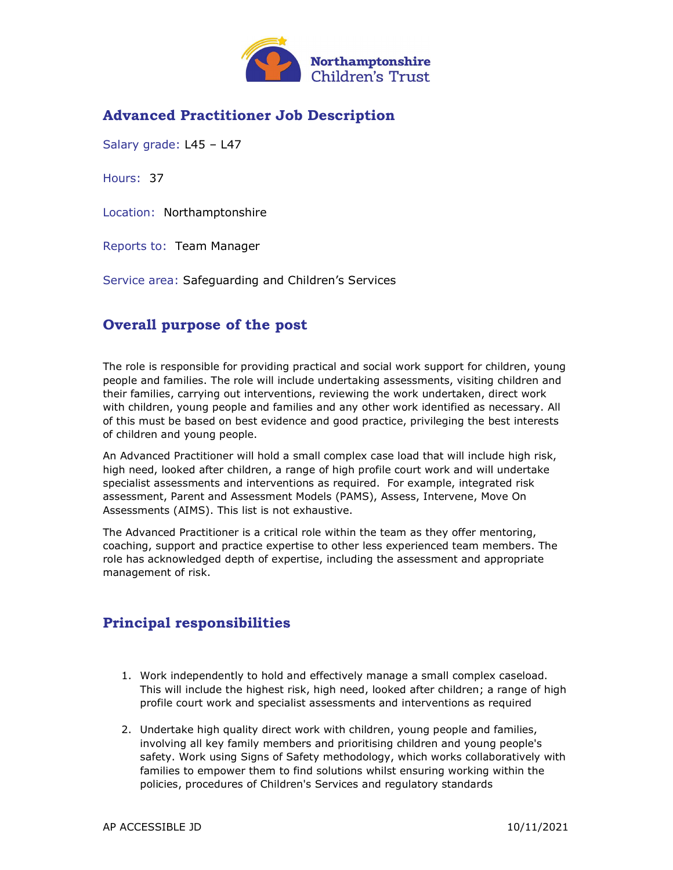

## Advanced Practitioner Job Description

Salary grade: L45 – L47

Hours: 37

Location: Northamptonshire

Reports to: Team Manager

Service area: Safeguarding and Children's Services

### Overall purpose of the post

The role is responsible for providing practical and social work support for children, young people and families. The role will include undertaking assessments, visiting children and their families, carrying out interventions, reviewing the work undertaken, direct work with children, young people and families and any other work identified as necessary. All of this must be based on best evidence and good practice, privileging the best interests of children and young people.

An Advanced Practitioner will hold a small complex case load that will include high risk, high need, looked after children, a range of high profile court work and will undertake specialist assessments and interventions as required. For example, integrated risk assessment, Parent and Assessment Models (PAMS), Assess, Intervene, Move On Assessments (AIMS). This list is not exhaustive.

The Advanced Practitioner is a critical role within the team as they offer mentoring, coaching, support and practice expertise to other less experienced team members. The role has acknowledged depth of expertise, including the assessment and appropriate management of risk.

#### Principal responsibilities

- 1. Work independently to hold and effectively manage a small complex caseload. This will include the highest risk, high need, looked after children; a range of high profile court work and specialist assessments and interventions as required
- 2. Undertake high quality direct work with children, young people and families, involving all key family members and prioritising children and young people's safety. Work using Signs of Safety methodology, which works collaboratively with families to empower them to find solutions whilst ensuring working within the policies, procedures of Children's Services and regulatory standards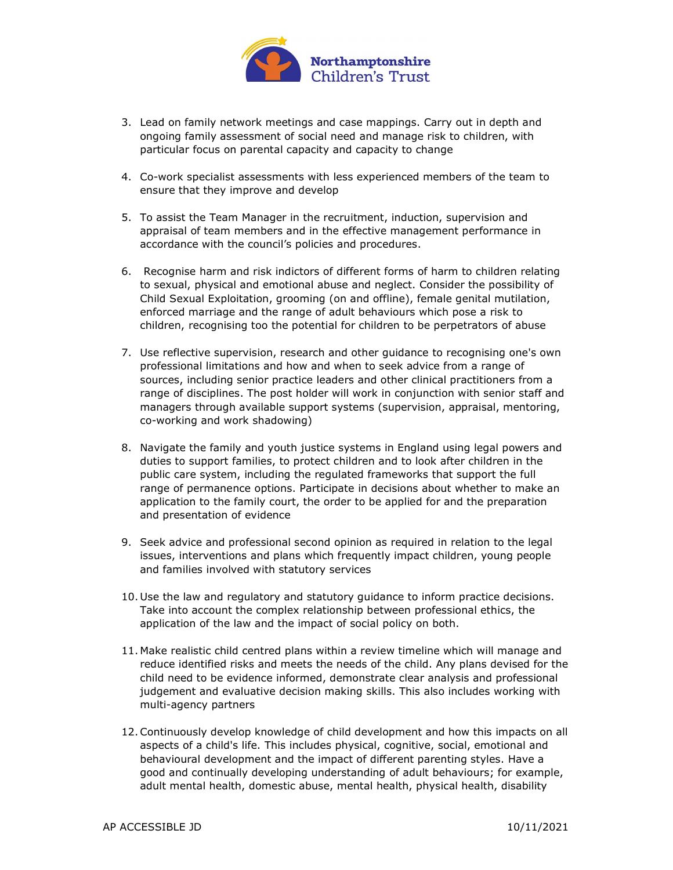

- 3. Lead on family network meetings and case mappings. Carry out in depth and ongoing family assessment of social need and manage risk to children, with particular focus on parental capacity and capacity to change
- 4. Co-work specialist assessments with less experienced members of the team to ensure that they improve and develop
- 5. To assist the Team Manager in the recruitment, induction, supervision and appraisal of team members and in the effective management performance in accordance with the council's policies and procedures.
- 6. Recognise harm and risk indictors of different forms of harm to children relating to sexual, physical and emotional abuse and neglect. Consider the possibility of Child Sexual Exploitation, grooming (on and offline), female genital mutilation, enforced marriage and the range of adult behaviours which pose a risk to children, recognising too the potential for children to be perpetrators of abuse
- 7. Use reflective supervision, research and other guidance to recognising one's own professional limitations and how and when to seek advice from a range of sources, including senior practice leaders and other clinical practitioners from a range of disciplines. The post holder will work in conjunction with senior staff and managers through available support systems (supervision, appraisal, mentoring, co-working and work shadowing)
- 8. Navigate the family and youth justice systems in England using legal powers and duties to support families, to protect children and to look after children in the public care system, including the regulated frameworks that support the full range of permanence options. Participate in decisions about whether to make an application to the family court, the order to be applied for and the preparation and presentation of evidence
- 9. Seek advice and professional second opinion as required in relation to the legal issues, interventions and plans which frequently impact children, young people and families involved with statutory services
- 10. Use the law and regulatory and statutory guidance to inform practice decisions. Take into account the complex relationship between professional ethics, the application of the law and the impact of social policy on both.
- 11. Make realistic child centred plans within a review timeline which will manage and reduce identified risks and meets the needs of the child. Any plans devised for the child need to be evidence informed, demonstrate clear analysis and professional judgement and evaluative decision making skills. This also includes working with multi-agency partners
- 12.Continuously develop knowledge of child development and how this impacts on all aspects of a child's life. This includes physical, cognitive, social, emotional and behavioural development and the impact of different parenting styles. Have a good and continually developing understanding of adult behaviours; for example, adult mental health, domestic abuse, mental health, physical health, disability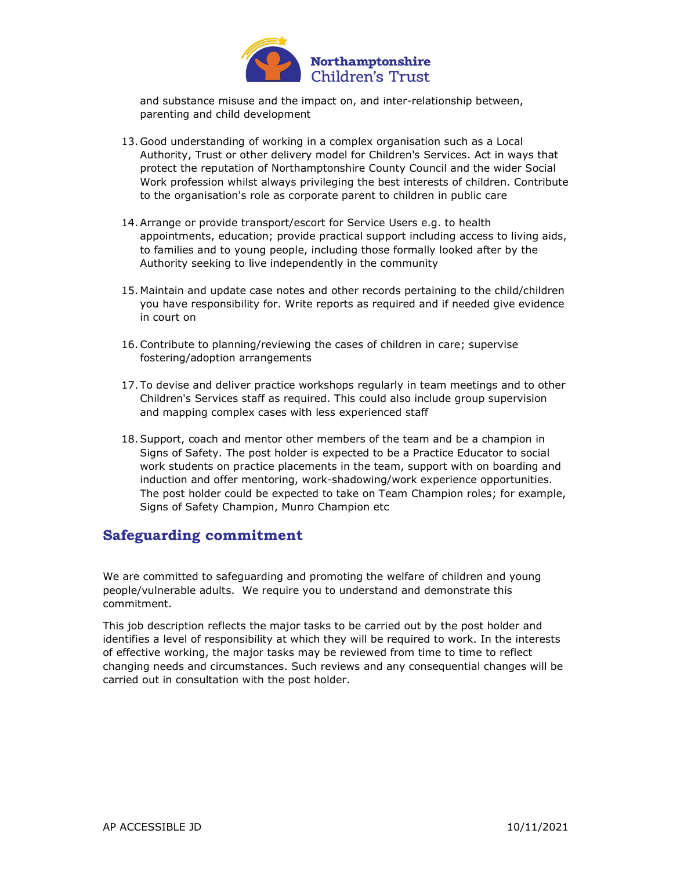

and substance misuse and the impact on, and inter-relationship between, parenting and child development

- 13. Good understanding of working in a complex organisation such as a Local Authority, Trust or other delivery model for Children's Services. Act in ways that protect the reputation of Northamptonshire County Council and the wider Social Work profession whilst always privileging the best interests of children. Contribute to the organisation's role as corporate parent to children in public care
- 14.Arrange or provide transport/escort for Service Users e.g. to health appointments, education; provide practical support including access to living aids, to families and to young people, including those formally looked after by the Authority seeking to live independently in the community
- 15. Maintain and update case notes and other records pertaining to the child/children you have responsibility for. Write reports as required and if needed give evidence in court on
- 16.Contribute to planning/reviewing the cases of children in care; supervise fostering/adoption arrangements
- 17. To devise and deliver practice workshops regularly in team meetings and to other Children's Services staff as required. This could also include group supervision and mapping complex cases with less experienced staff
- 18.Support, coach and mentor other members of the team and be a champion in Signs of Safety. The post holder is expected to be a Practice Educator to social work students on practice placements in the team, support with on boarding and induction and offer mentoring, work-shadowing/work experience opportunities. The post holder could be expected to take on Team Champion roles; for example, Signs of Safety Champion, Munro Champion etc

#### Safeguarding commitment

We are committed to safeguarding and promoting the welfare of children and young people/vulnerable adults. We require you to understand and demonstrate this commitment.

This job description reflects the major tasks to be carried out by the post holder and identifies a level of responsibility at which they will be required to work. In the interests of effective working, the major tasks may be reviewed from time to time to reflect changing needs and circumstances. Such reviews and any consequential changes will be carried out in consultation with the post holder.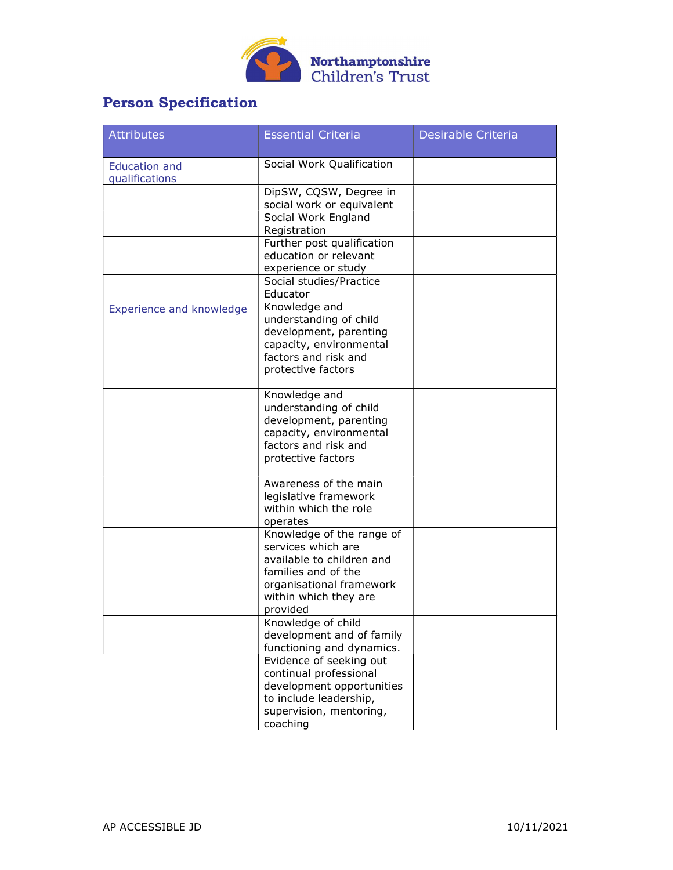

# Person Specification

| <b>Attributes</b>                      | <b>Essential Criteria</b>                                                                                                                                            | Desirable Criteria |
|----------------------------------------|----------------------------------------------------------------------------------------------------------------------------------------------------------------------|--------------------|
| <b>Education and</b><br>qualifications | Social Work Qualification                                                                                                                                            |                    |
|                                        | DipSW, CQSW, Degree in<br>social work or equivalent                                                                                                                  |                    |
|                                        | Social Work England<br>Registration                                                                                                                                  |                    |
|                                        | Further post qualification<br>education or relevant<br>experience or study                                                                                           |                    |
|                                        | Social studies/Practice<br>Educator                                                                                                                                  |                    |
| Experience and knowledge               | Knowledge and<br>understanding of child<br>development, parenting<br>capacity, environmental<br>factors and risk and<br>protective factors                           |                    |
|                                        | Knowledge and<br>understanding of child<br>development, parenting<br>capacity, environmental<br>factors and risk and<br>protective factors                           |                    |
|                                        | Awareness of the main<br>legislative framework<br>within which the role<br>operates                                                                                  |                    |
|                                        | Knowledge of the range of<br>services which are<br>available to children and<br>families and of the<br>organisational framework<br>within which they are<br>provided |                    |
|                                        | Knowledge of child<br>development and of family<br>functioning and dynamics.                                                                                         |                    |
|                                        | Evidence of seeking out<br>continual professional<br>development opportunities<br>to include leadership,<br>supervision, mentoring,<br>coaching                      |                    |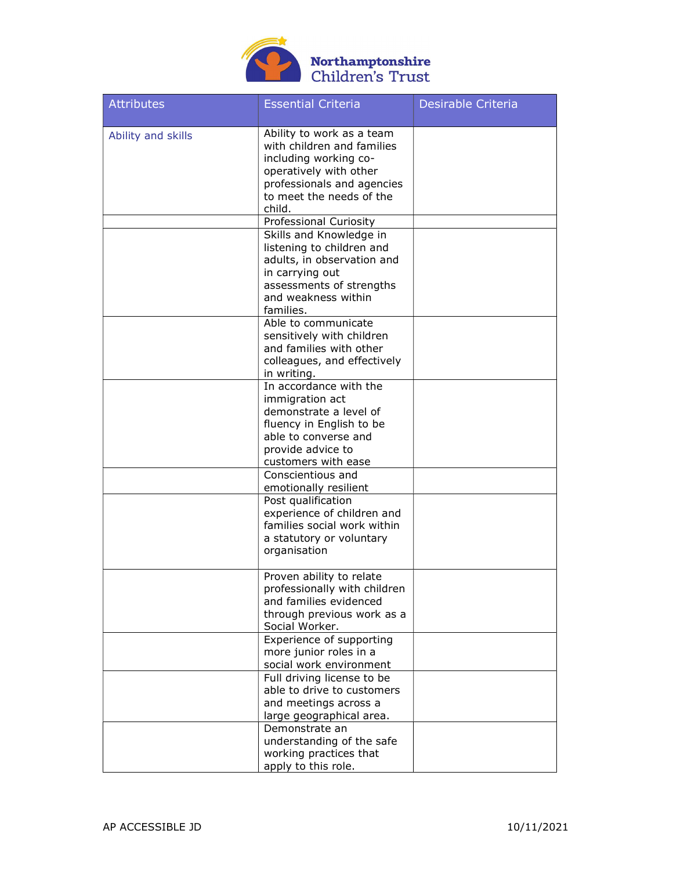

# Northamptonshire<br>Children's Trust

| <b>Attributes</b>  | <b>Essential Criteria</b>                                                                                                                                                      | <b>Desirable Criteria</b> |
|--------------------|--------------------------------------------------------------------------------------------------------------------------------------------------------------------------------|---------------------------|
| Ability and skills | Ability to work as a team<br>with children and families<br>including working co-<br>operatively with other<br>professionals and agencies<br>to meet the needs of the<br>child. |                           |
|                    | Professional Curiosity                                                                                                                                                         |                           |
|                    | Skills and Knowledge in<br>listening to children and<br>adults, in observation and<br>in carrying out<br>assessments of strengths<br>and weakness within<br>families.          |                           |
|                    | Able to communicate<br>sensitively with children<br>and families with other<br>colleagues, and effectively<br>in writing.                                                      |                           |
|                    | In accordance with the<br>immigration act<br>demonstrate a level of<br>fluency in English to be<br>able to converse and<br>provide advice to<br>customers with ease            |                           |
|                    | Conscientious and<br>emotionally resilient<br>Post qualification<br>experience of children and<br>families social work within<br>a statutory or voluntary<br>organisation      |                           |
|                    | Proven ability to relate<br>professionally with children<br>and families evidenced<br>through previous work as a<br>Social Worker.                                             |                           |
|                    | Experience of supporting<br>more junior roles in a<br>social work environment                                                                                                  |                           |
|                    | Full driving license to be<br>able to drive to customers<br>and meetings across a<br>large geographical area.                                                                  |                           |
|                    | Demonstrate an<br>understanding of the safe<br>working practices that<br>apply to this role.                                                                                   |                           |